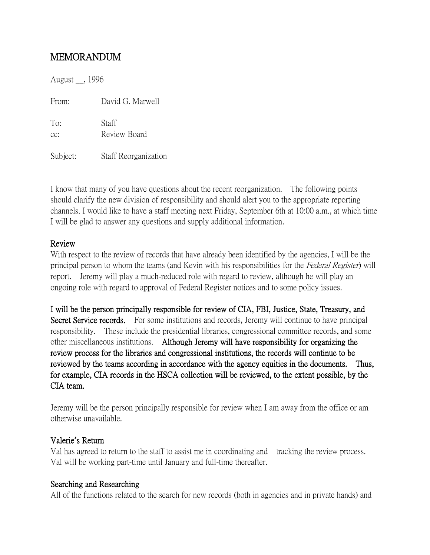# MEMORANDUM

August \_\_, 1996

From: David G. Marwell

To: Staff cc: Review Board

Subject: Staff Reorganization

I know that many of you have questions about the recent reorganization. The following points should clarify the new division of responsibility and should alert you to the appropriate reporting channels. I would like to have a staff meeting next Friday, September 6th at 10:00 a.m., at which time I will be glad to answer any questions and supply additional information.

## Review

With respect to the review of records that have already been identified by the agencies, I will be the principal person to whom the teams (and Kevin with his responsibilities for the Federal Register) will report. Jeremy will play a much-reduced role with regard to review, although he will play an ongoing role with regard to approval of Federal Register notices and to some policy issues.

I will be the person principally responsible for review of CIA, FBI, Justice, State, Treasury, and Secret Service records. For some institutions and records, Jeremy will continue to have principal responsibility. These include the presidential libraries, congressional committee records, and some other miscellaneous institutions. Although Jeremy will have responsibility for organizing the review process for the libraries and congressional institutions, the records will continue to be reviewed by the teams according in accordance with the agency equities in the documents. Thus, for example, CIA records in the HSCA collection will be reviewed, to the extent possible, by the CIA team.

Jeremy will be the person principally responsible for review when I am away from the office or am otherwise unavailable.

## Valerie**'**s Return

Val has agreed to return to the staff to assist me in coordinating and tracking the review process. Val will be working part-time until January and full-time thereafter.

## Searching and Researching

All of the functions related to the search for new records (both in agencies and in private hands) and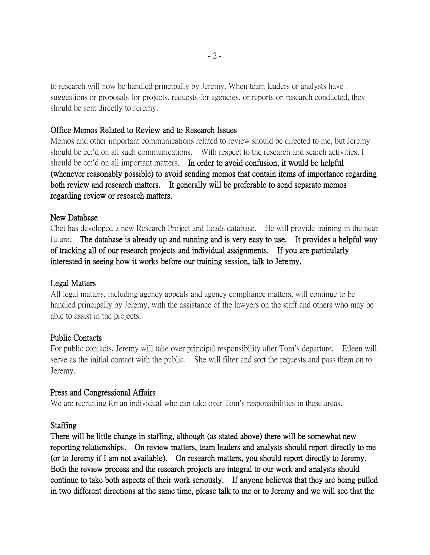to research will now be handled principally by Jeremy. When team leaders or analysts have suggestions or proposals for projects, requests for agencies, or reports on research conducted, they should be sent directly to Jeremy.

### Office Memos Related to Review and to Research Issues

Memos and other important communications related to review should be directed to me, but Jeremy should be cc:'d on all such communications. With respect to the research and search activities, I should be cc:'d on all important matters. In order to avoid confusion, it would be helpful (whenever reasonably possible) to avoid sending memos that contain items of importance regarding both review and research matters. It generally will be preferable to send separate memos regarding review or research matters.

### New Database

Chet has developed a new Research Project and Leads database. He will provide training in the near future. The database is already up and running and is very easy to use. It provides a helpful way of tracking all of our research projects and individual assignments. If you are particularly interested in seeing how it works before our training session, talk to Jeremy.

## Legal Matters

All legal matters, including agency appeals and agency compliance matters, will continue to be handled principally by Jeremy, with the assistance of the lawyers on the staff and others who may be able to assist in the projects.

#### Public Contacts

For public contacts, Jeremy will take over principal responsibility after Tom's departure. Eileen will serve as the initial contact with the public. She will filter and sort the requests and pass them on to Jeremy.

## Press and Congressional Affairs

We are recruiting for an individual who can take over Tom's responsibilities in these areas.

## Staffing

There will be little change in staffing, although (as stated above) there will be somewhat new reporting relationships. On review matters, team leaders and analysts should report directly to me (or to Jeremy if I am not available). On research matters, you should report directly to Jeremy. Both the review process and the research projects are integral to our work and analysts should continue to take both aspects of their work seriously. If anyone believes that they are being pulled in two different directions at the same time, please talk to me or to Jeremy and we will see that the